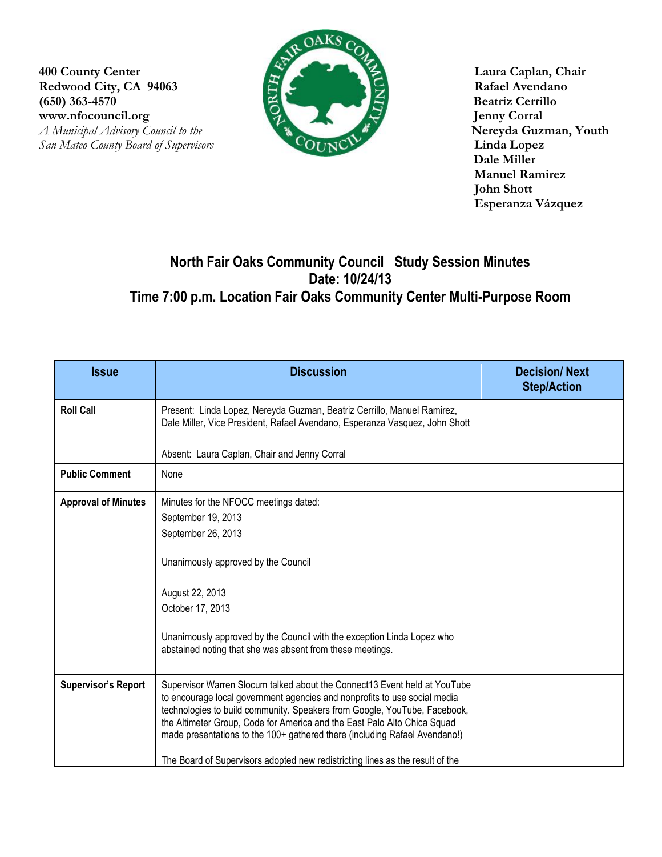**400 County Center Laura Caplan, Chair** Redwood City, CA 94063 **Rafael Avendano (650) 363-4570 Beatriz Cerrillo** WWW.nfocouncil.org Jenny Corral<br> *A Municipal Advisory Council to the*<br> **A Municipal Advisory Council to the San Mateo County Board of Supervisors** 



 **Dale Miller Manuel Ramirez John Shott Esperanza Vázquez**

## **North Fair Oaks Community Council Study Session Minutes Date: 10/24/13 Time 7:00 p.m. Location Fair Oaks Community Center Multi-Purpose Room**

| <b>Issue</b>               | <b>Discussion</b>                                                                                                                                                                                                                                                                                                                                                                                                                                                              | <b>Decision/Next</b><br><b>Step/Action</b> |
|----------------------------|--------------------------------------------------------------------------------------------------------------------------------------------------------------------------------------------------------------------------------------------------------------------------------------------------------------------------------------------------------------------------------------------------------------------------------------------------------------------------------|--------------------------------------------|
| <b>Roll Call</b>           | Present: Linda Lopez, Nereyda Guzman, Beatriz Cerrillo, Manuel Ramirez,<br>Dale Miller, Vice President, Rafael Avendano, Esperanza Vasquez, John Shott                                                                                                                                                                                                                                                                                                                         |                                            |
|                            | Absent: Laura Caplan, Chair and Jenny Corral                                                                                                                                                                                                                                                                                                                                                                                                                                   |                                            |
| <b>Public Comment</b>      | None                                                                                                                                                                                                                                                                                                                                                                                                                                                                           |                                            |
| <b>Approval of Minutes</b> | Minutes for the NFOCC meetings dated:<br>September 19, 2013<br>September 26, 2013<br>Unanimously approved by the Council<br>August 22, 2013<br>October 17, 2013<br>Unanimously approved by the Council with the exception Linda Lopez who<br>abstained noting that she was absent from these meetings.                                                                                                                                                                         |                                            |
| <b>Supervisor's Report</b> | Supervisor Warren Slocum talked about the Connect13 Event held at YouTube<br>to encourage local government agencies and nonprofits to use social media<br>technologies to build community. Speakers from Google, YouTube, Facebook,<br>the Altimeter Group, Code for America and the East Palo Alto Chica Squad<br>made presentations to the 100+ gathered there (including Rafael Avendano!)<br>The Board of Supervisors adopted new redistricting lines as the result of the |                                            |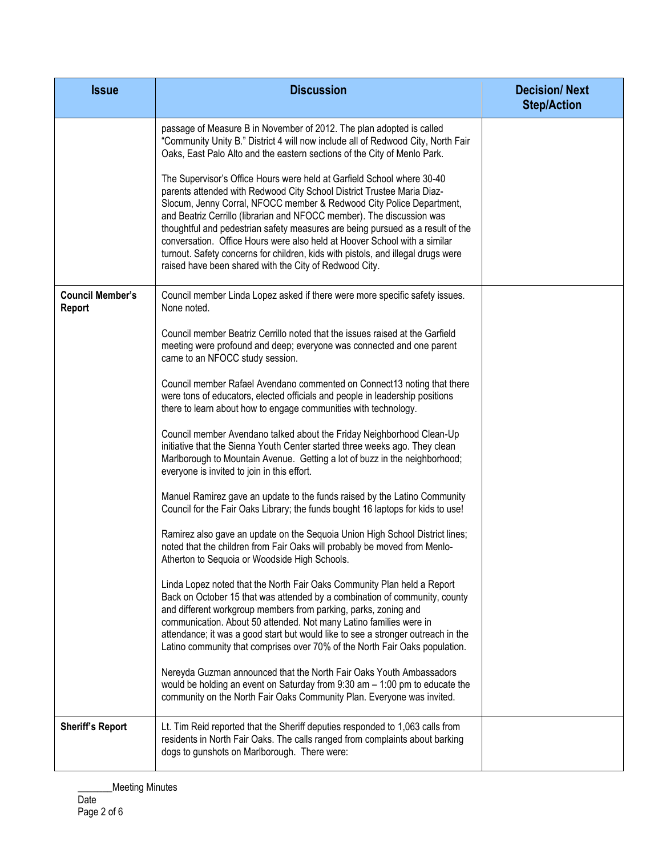| <b>Issue</b>                      | <b>Discussion</b>                                                                                                                                                                                                                                                                                                                                                                                                                                                                                                                                                                                              | <b>Decision/Next</b><br><b>Step/Action</b> |
|-----------------------------------|----------------------------------------------------------------------------------------------------------------------------------------------------------------------------------------------------------------------------------------------------------------------------------------------------------------------------------------------------------------------------------------------------------------------------------------------------------------------------------------------------------------------------------------------------------------------------------------------------------------|--------------------------------------------|
|                                   | passage of Measure B in November of 2012. The plan adopted is called<br>"Community Unity B." District 4 will now include all of Redwood City, North Fair<br>Oaks, East Palo Alto and the eastern sections of the City of Menlo Park.                                                                                                                                                                                                                                                                                                                                                                           |                                            |
|                                   | The Supervisor's Office Hours were held at Garfield School where 30-40<br>parents attended with Redwood City School District Trustee Maria Diaz-<br>Slocum, Jenny Corral, NFOCC member & Redwood City Police Department,<br>and Beatriz Cerrillo (librarian and NFOCC member). The discussion was<br>thoughtful and pedestrian safety measures are being pursued as a result of the<br>conversation. Office Hours were also held at Hoover School with a similar<br>turnout. Safety concerns for children, kids with pistols, and illegal drugs were<br>raised have been shared with the City of Redwood City. |                                            |
| <b>Council Member's</b><br>Report | Council member Linda Lopez asked if there were more specific safety issues.<br>None noted.                                                                                                                                                                                                                                                                                                                                                                                                                                                                                                                     |                                            |
|                                   | Council member Beatriz Cerrillo noted that the issues raised at the Garfield<br>meeting were profound and deep; everyone was connected and one parent<br>came to an NFOCC study session.                                                                                                                                                                                                                                                                                                                                                                                                                       |                                            |
|                                   | Council member Rafael Avendano commented on Connect13 noting that there<br>were tons of educators, elected officials and people in leadership positions<br>there to learn about how to engage communities with technology.                                                                                                                                                                                                                                                                                                                                                                                     |                                            |
|                                   | Council member Avendano talked about the Friday Neighborhood Clean-Up<br>initiative that the Sienna Youth Center started three weeks ago. They clean<br>Marlborough to Mountain Avenue. Getting a lot of buzz in the neighborhood;<br>everyone is invited to join in this effort.                                                                                                                                                                                                                                                                                                                              |                                            |
|                                   | Manuel Ramirez gave an update to the funds raised by the Latino Community<br>Council for the Fair Oaks Library; the funds bought 16 laptops for kids to use!                                                                                                                                                                                                                                                                                                                                                                                                                                                   |                                            |
|                                   | Ramirez also gave an update on the Sequoia Union High School District lines;<br>noted that the children from Fair Oaks will probably be moved from Menlo-<br>Atherton to Sequoia or Woodside High Schools.                                                                                                                                                                                                                                                                                                                                                                                                     |                                            |
|                                   | Linda Lopez noted that the North Fair Oaks Community Plan held a Report<br>Back on October 15 that was attended by a combination of community, county<br>and different workgroup members from parking, parks, zoning and<br>communication. About 50 attended. Not many Latino families were in<br>attendance; it was a good start but would like to see a stronger outreach in the<br>Latino community that comprises over 70% of the North Fair Oaks population.                                                                                                                                              |                                            |
|                                   | Nereyda Guzman announced that the North Fair Oaks Youth Ambassadors<br>would be holding an event on Saturday from $9:30$ am $-1:00$ pm to educate the<br>community on the North Fair Oaks Community Plan. Everyone was invited.                                                                                                                                                                                                                                                                                                                                                                                |                                            |
| <b>Sheriff's Report</b>           | Lt. Tim Reid reported that the Sheriff deputies responded to 1,063 calls from<br>residents in North Fair Oaks. The calls ranged from complaints about barking<br>dogs to gunshots on Marlborough. There were:                                                                                                                                                                                                                                                                                                                                                                                                  |                                            |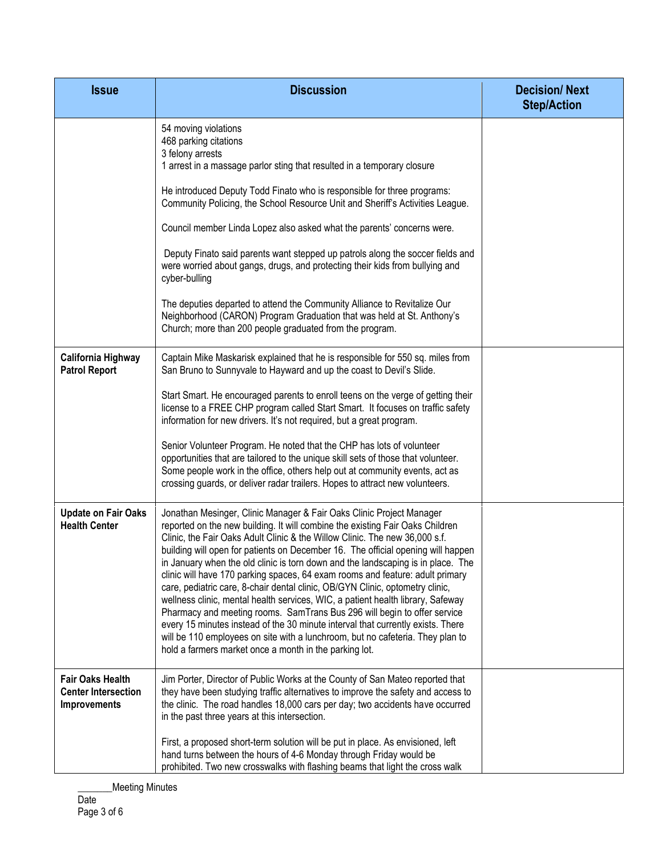| <b>Issue</b>                                                                 | <b>Discussion</b>                                                                                                                                                                                                                                                                                                                                                                                                                                                                                                                                                                                                                                                                                                                                                                                                                                                                                                                                                            | <b>Decision/Next</b><br><b>Step/Action</b> |
|------------------------------------------------------------------------------|------------------------------------------------------------------------------------------------------------------------------------------------------------------------------------------------------------------------------------------------------------------------------------------------------------------------------------------------------------------------------------------------------------------------------------------------------------------------------------------------------------------------------------------------------------------------------------------------------------------------------------------------------------------------------------------------------------------------------------------------------------------------------------------------------------------------------------------------------------------------------------------------------------------------------------------------------------------------------|--------------------------------------------|
|                                                                              | 54 moving violations<br>468 parking citations<br>3 felony arrests<br>1 arrest in a massage parlor sting that resulted in a temporary closure                                                                                                                                                                                                                                                                                                                                                                                                                                                                                                                                                                                                                                                                                                                                                                                                                                 |                                            |
|                                                                              | He introduced Deputy Todd Finato who is responsible for three programs:<br>Community Policing, the School Resource Unit and Sheriff's Activities League.                                                                                                                                                                                                                                                                                                                                                                                                                                                                                                                                                                                                                                                                                                                                                                                                                     |                                            |
|                                                                              | Council member Linda Lopez also asked what the parents' concerns were.                                                                                                                                                                                                                                                                                                                                                                                                                                                                                                                                                                                                                                                                                                                                                                                                                                                                                                       |                                            |
|                                                                              | Deputy Finato said parents want stepped up patrols along the soccer fields and<br>were worried about gangs, drugs, and protecting their kids from bullying and<br>cyber-bulling                                                                                                                                                                                                                                                                                                                                                                                                                                                                                                                                                                                                                                                                                                                                                                                              |                                            |
|                                                                              | The deputies departed to attend the Community Alliance to Revitalize Our<br>Neighborhood (CARON) Program Graduation that was held at St. Anthony's<br>Church; more than 200 people graduated from the program.                                                                                                                                                                                                                                                                                                                                                                                                                                                                                                                                                                                                                                                                                                                                                               |                                            |
| California Highway<br><b>Patrol Report</b>                                   | Captain Mike Maskarisk explained that he is responsible for 550 sq. miles from<br>San Bruno to Sunnyvale to Hayward and up the coast to Devil's Slide.                                                                                                                                                                                                                                                                                                                                                                                                                                                                                                                                                                                                                                                                                                                                                                                                                       |                                            |
|                                                                              | Start Smart. He encouraged parents to enroll teens on the verge of getting their<br>license to a FREE CHP program called Start Smart. It focuses on traffic safety<br>information for new drivers. It's not required, but a great program.                                                                                                                                                                                                                                                                                                                                                                                                                                                                                                                                                                                                                                                                                                                                   |                                            |
|                                                                              | Senior Volunteer Program. He noted that the CHP has lots of volunteer<br>opportunities that are tailored to the unique skill sets of those that volunteer.<br>Some people work in the office, others help out at community events, act as<br>crossing guards, or deliver radar trailers. Hopes to attract new volunteers.                                                                                                                                                                                                                                                                                                                                                                                                                                                                                                                                                                                                                                                    |                                            |
| <b>Update on Fair Oaks</b><br><b>Health Center</b>                           | Jonathan Mesinger, Clinic Manager & Fair Oaks Clinic Project Manager<br>reported on the new building. It will combine the existing Fair Oaks Children<br>Clinic, the Fair Oaks Adult Clinic & the Willow Clinic. The new 36,000 s.f.<br>building will open for patients on December 16. The official opening will happen<br>in January when the old clinic is torn down and the landscaping is in place. The<br>clinic will have 170 parking spaces, 64 exam rooms and feature: adult primary<br>care, pediatric care, 8-chair dental clinic, OB/GYN Clinic, optometry clinic,<br>wellness clinic, mental health services, WIC, a patient health library, Safeway<br>Pharmacy and meeting rooms. SamTrans Bus 296 will begin to offer service<br>every 15 minutes instead of the 30 minute interval that currently exists. There<br>will be 110 employees on site with a lunchroom, but no cafeteria. They plan to<br>hold a farmers market once a month in the parking lot. |                                            |
| <b>Fair Oaks Health</b><br><b>Center Intersection</b><br><b>Improvements</b> | Jim Porter, Director of Public Works at the County of San Mateo reported that<br>they have been studying traffic alternatives to improve the safety and access to<br>the clinic. The road handles 18,000 cars per day; two accidents have occurred<br>in the past three years at this intersection.                                                                                                                                                                                                                                                                                                                                                                                                                                                                                                                                                                                                                                                                          |                                            |
|                                                                              | First, a proposed short-term solution will be put in place. As envisioned, left<br>hand turns between the hours of 4-6 Monday through Friday would be<br>prohibited. Two new crosswalks with flashing beams that light the cross walk                                                                                                                                                                                                                                                                                                                                                                                                                                                                                                                                                                                                                                                                                                                                        |                                            |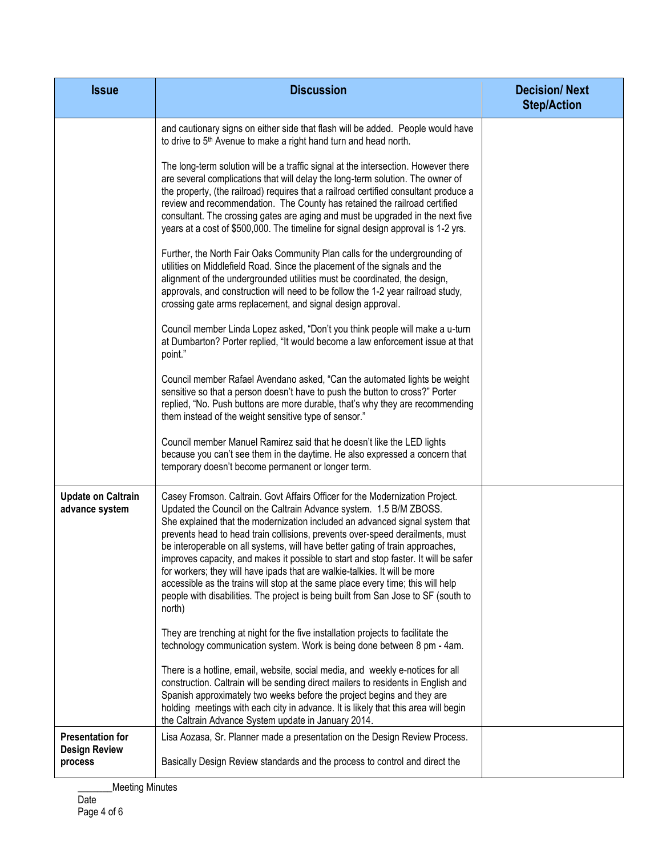| <b>Issue</b>                                    | <b>Discussion</b>                                                                                                                                                                                                                                                                                                                                                                                                                                                                                                                                                                                                                                                                                                                                            | <b>Decision/Next</b><br><b>Step/Action</b> |
|-------------------------------------------------|--------------------------------------------------------------------------------------------------------------------------------------------------------------------------------------------------------------------------------------------------------------------------------------------------------------------------------------------------------------------------------------------------------------------------------------------------------------------------------------------------------------------------------------------------------------------------------------------------------------------------------------------------------------------------------------------------------------------------------------------------------------|--------------------------------------------|
|                                                 | and cautionary signs on either side that flash will be added. People would have<br>to drive to 5 <sup>th</sup> Avenue to make a right hand turn and head north.                                                                                                                                                                                                                                                                                                                                                                                                                                                                                                                                                                                              |                                            |
|                                                 | The long-term solution will be a traffic signal at the intersection. However there<br>are several complications that will delay the long-term solution. The owner of<br>the property, (the railroad) requires that a railroad certified consultant produce a<br>review and recommendation. The County has retained the railroad certified<br>consultant. The crossing gates are aging and must be upgraded in the next five<br>years at a cost of \$500,000. The timeline for signal design approval is 1-2 yrs.                                                                                                                                                                                                                                             |                                            |
|                                                 | Further, the North Fair Oaks Community Plan calls for the undergrounding of<br>utilities on Middlefield Road. Since the placement of the signals and the<br>alignment of the undergrounded utilities must be coordinated, the design,<br>approvals, and construction will need to be follow the 1-2 year railroad study,<br>crossing gate arms replacement, and signal design approval.                                                                                                                                                                                                                                                                                                                                                                      |                                            |
|                                                 | Council member Linda Lopez asked, "Don't you think people will make a u-turn<br>at Dumbarton? Porter replied, "It would become a law enforcement issue at that<br>point."                                                                                                                                                                                                                                                                                                                                                                                                                                                                                                                                                                                    |                                            |
|                                                 | Council member Rafael Avendano asked, "Can the automated lights be weight<br>sensitive so that a person doesn't have to push the button to cross?" Porter<br>replied, "No. Push buttons are more durable, that's why they are recommending<br>them instead of the weight sensitive type of sensor."                                                                                                                                                                                                                                                                                                                                                                                                                                                          |                                            |
|                                                 | Council member Manuel Ramirez said that he doesn't like the LED lights<br>because you can't see them in the daytime. He also expressed a concern that<br>temporary doesn't become permanent or longer term.                                                                                                                                                                                                                                                                                                                                                                                                                                                                                                                                                  |                                            |
| <b>Update on Caltrain</b><br>advance system     | Casey Fromson. Caltrain. Govt Affairs Officer for the Modernization Project.<br>Updated the Council on the Caltrain Advance system. 1.5 B/M ZBOSS.<br>She explained that the modernization included an advanced signal system that<br>prevents head to head train collisions, prevents over-speed derailments, must<br>be interoperable on all systems, will have better gating of train approaches,<br>improves capacity, and makes it possible to start and stop faster. It will be safer<br>for workers; they will have ipads that are walkie-talkies. It will be more<br>accessible as the trains will stop at the same place every time; this will help<br>people with disabilities. The project is being built from San Jose to SF (south to<br>north) |                                            |
|                                                 | They are trenching at night for the five installation projects to facilitate the<br>technology communication system. Work is being done between 8 pm - 4am.                                                                                                                                                                                                                                                                                                                                                                                                                                                                                                                                                                                                  |                                            |
|                                                 | There is a hotline, email, website, social media, and weekly e-notices for all<br>construction. Caltrain will be sending direct mailers to residents in English and<br>Spanish approximately two weeks before the project begins and they are<br>holding meetings with each city in advance. It is likely that this area will begin<br>the Caltrain Advance System update in January 2014.                                                                                                                                                                                                                                                                                                                                                                   |                                            |
| <b>Presentation for</b><br><b>Design Review</b> | Lisa Aozasa, Sr. Planner made a presentation on the Design Review Process.                                                                                                                                                                                                                                                                                                                                                                                                                                                                                                                                                                                                                                                                                   |                                            |
| process                                         | Basically Design Review standards and the process to control and direct the                                                                                                                                                                                                                                                                                                                                                                                                                                                                                                                                                                                                                                                                                  |                                            |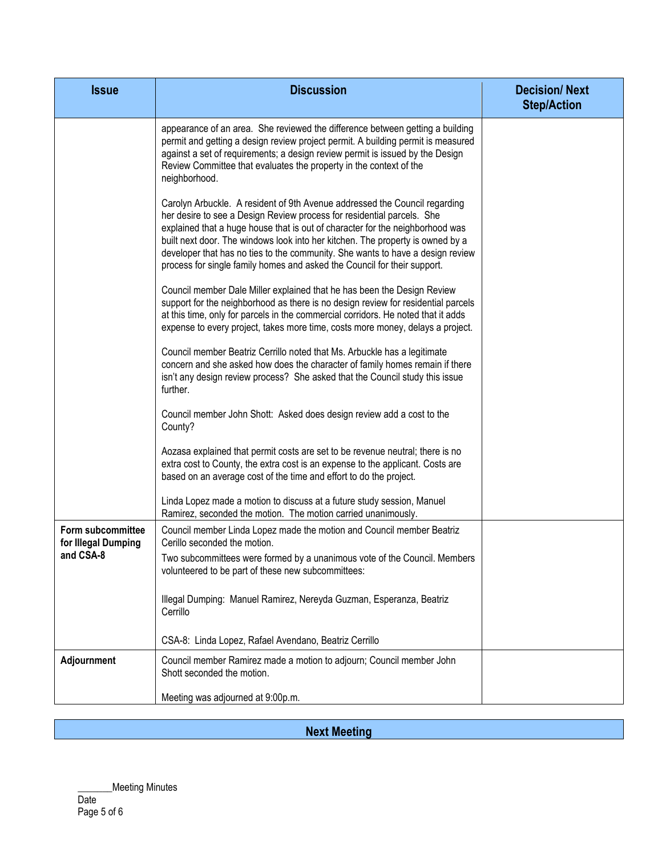| <b>Issue</b>                                          | <b>Discussion</b>                                                                                                                                                                                                                                                                                                                                                                                                                                                                     | <b>Decision/Next</b><br><b>Step/Action</b> |
|-------------------------------------------------------|---------------------------------------------------------------------------------------------------------------------------------------------------------------------------------------------------------------------------------------------------------------------------------------------------------------------------------------------------------------------------------------------------------------------------------------------------------------------------------------|--------------------------------------------|
|                                                       | appearance of an area. She reviewed the difference between getting a building<br>permit and getting a design review project permit. A building permit is measured<br>against a set of requirements; a design review permit is issued by the Design<br>Review Committee that evaluates the property in the context of the<br>neighborhood.                                                                                                                                             |                                            |
|                                                       | Carolyn Arbuckle. A resident of 9th Avenue addressed the Council regarding<br>her desire to see a Design Review process for residential parcels. She<br>explained that a huge house that is out of character for the neighborhood was<br>built next door. The windows look into her kitchen. The property is owned by a<br>developer that has no ties to the community. She wants to have a design review<br>process for single family homes and asked the Council for their support. |                                            |
|                                                       | Council member Dale Miller explained that he has been the Design Review<br>support for the neighborhood as there is no design review for residential parcels<br>at this time, only for parcels in the commercial corridors. He noted that it adds<br>expense to every project, takes more time, costs more money, delays a project.                                                                                                                                                   |                                            |
|                                                       | Council member Beatriz Cerrillo noted that Ms. Arbuckle has a legitimate<br>concern and she asked how does the character of family homes remain if there<br>isn't any design review process? She asked that the Council study this issue<br>further.                                                                                                                                                                                                                                  |                                            |
|                                                       | Council member John Shott: Asked does design review add a cost to the<br>County?                                                                                                                                                                                                                                                                                                                                                                                                      |                                            |
|                                                       | Aozasa explained that permit costs are set to be revenue neutral; there is no<br>extra cost to County, the extra cost is an expense to the applicant. Costs are<br>based on an average cost of the time and effort to do the project.                                                                                                                                                                                                                                                 |                                            |
|                                                       | Linda Lopez made a motion to discuss at a future study session, Manuel<br>Ramirez, seconded the motion. The motion carried unanimously.                                                                                                                                                                                                                                                                                                                                               |                                            |
| Form subcommittee<br>for Illegal Dumping<br>and CSA-8 | Council member Linda Lopez made the motion and Council member Beatriz<br>Cerillo seconded the motion.<br>Two subcommittees were formed by a unanimous vote of the Council. Members<br>volunteered to be part of these new subcommittees:                                                                                                                                                                                                                                              |                                            |
|                                                       | Illegal Dumping: Manuel Ramirez, Nereyda Guzman, Esperanza, Beatriz<br>Cerrillo                                                                                                                                                                                                                                                                                                                                                                                                       |                                            |
|                                                       | CSA-8: Linda Lopez, Rafael Avendano, Beatriz Cerrillo                                                                                                                                                                                                                                                                                                                                                                                                                                 |                                            |
| Adjournment                                           | Council member Ramirez made a motion to adjourn; Council member John<br>Shott seconded the motion.                                                                                                                                                                                                                                                                                                                                                                                    |                                            |
|                                                       | Meeting was adjourned at 9:00p.m.                                                                                                                                                                                                                                                                                                                                                                                                                                                     |                                            |

**Next Meeting**